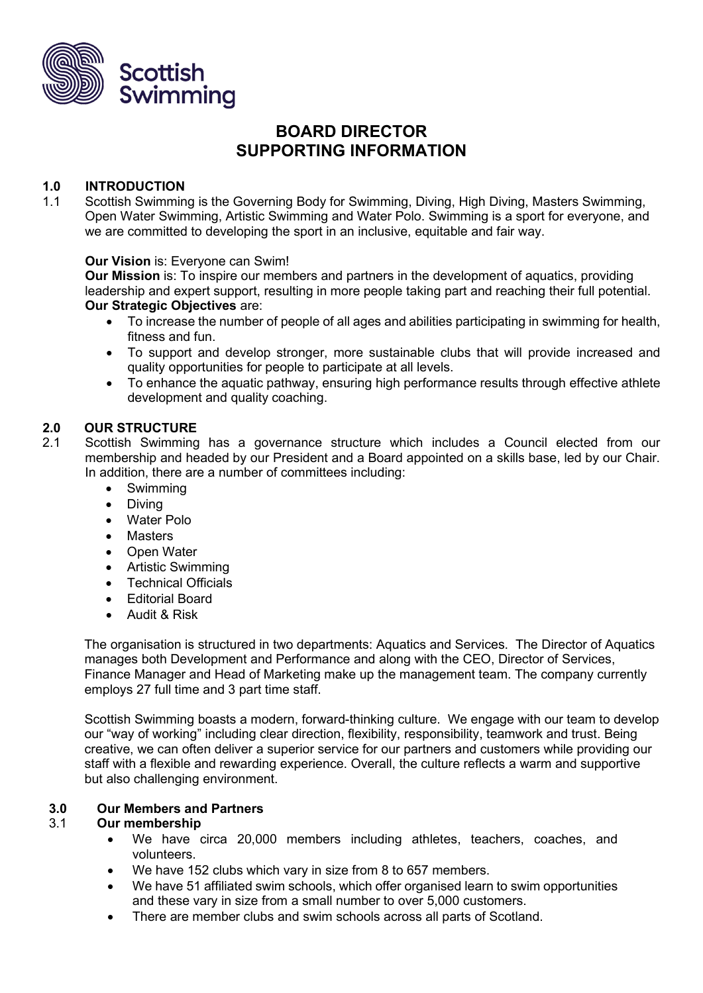

# **BOARD DIRECTOR SUPPORTING INFORMATION**

# **1.0 INTRODUCTION**

1.1 Scottish Swimming is the Governing Body for Swimming, Diving, High Diving, Masters Swimming, Open Water Swimming, Artistic Swimming and Water Polo. Swimming is a sport for everyone, and we are committed to developing the sport in an inclusive, equitable and fair way.

#### **Our Vision** is: Everyone can Swim!

**Our Mission** is: To inspire our members and partners in the development of aquatics, providing leadership and expert support, resulting in more people taking part and reaching their full potential. **Our Strategic Objectives** are:

- To increase the number of people of all ages and abilities participating in swimming for health, fitness and fun.
- To support and develop stronger, more sustainable clubs that will provide increased and quality opportunities for people to participate at all levels.
- To enhance the aquatic pathway, ensuring high performance results through effective athlete development and quality coaching.

### **2.0 OUR STRUCTURE**

- 2.1 Scottish Swimming has a governance structure which includes a Council elected from our membership and headed by our President and a Board appointed on a skills base, led by our Chair. In addition, there are a number of committees including:
	- Swimming
	- Diving
	- Water Polo
	- Masters
	- Open Water
	- Artistic Swimming
	- Technical Officials
	- Editorial Board
	- Audit & Risk

The organisation is structured in two departments: Aquatics and Services. The Director of Aquatics manages both Development and Performance and along with the CEO, Director of Services, Finance Manager and Head of Marketing make up the management team. The company currently employs 27 full time and 3 part time staff.

Scottish Swimming boasts a modern, forward-thinking culture. We engage with our team to develop our "way of working" including clear direction, flexibility, responsibility, teamwork and trust. Being creative, we can often deliver a superior service for our partners and customers while providing our staff with a flexible and rewarding experience. Overall, the culture reflects a warm and supportive but also challenging environment.

#### **3.0 Our Members and Partners**

#### 3.1 **Our membership**

- We have circa 20,000 members including athletes, teachers, coaches, and volunteers.
- We have 152 clubs which vary in size from 8 to 657 members.
- We have 51 affiliated swim schools, which offer organised learn to swim opportunities and these vary in size from a small number to over 5,000 customers.
- There are member clubs and swim schools across all parts of Scotland.